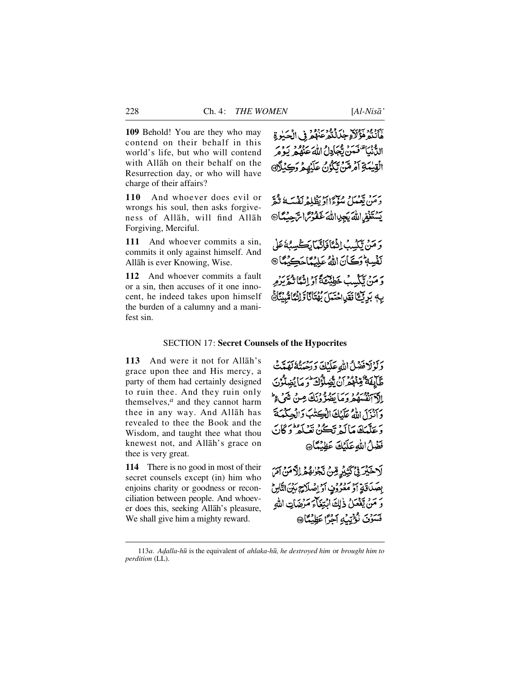**109** Behold! You are they who may contend on their behalf in this world's life, but who will contend with Allåh on their behalf on the Resurrection day, or who will have charge of their affairs?

110 And whoever does evil or wrongs his soul, then asks forgiveness of Allåh, will find Allåh Forgiving, Merciful.

**111** And whoever commits a sin, commits it only against himself. And Allåh is ever Knowing, Wise.

**112** And whoever commits a fault or a sin, then accuses of it one innocent, he indeed takes upon himself the burden of a calumny and a manifest sin.

مَأَنْتُمْ فَؤُلَاَّ جِكَّانُكُمْ عَنْهُمْ فِي الْحَبِٰدِةِ الدُّنْيَا تَعْمَنْ تَعْبَادِلُ اللَّهُ عَنْهُمْ يَوْمَرُ الْقِيْمَةِ أَمْرِهْنَ تَكُوْنُ عَلَيْهِمْ وَكِبْلَاهِ

بِرَمْ يَعْمَلْ سُؤْءًاأَدْيَظْلِمْ نَفْسَهُ نَثْقَه يَسْتَغْفِيراللهُ يَجِلِااللهُ غَفُوسَ الرَّحِيْدُ @

وَ مَنْ تَكْسُبُ إِنْهُمَّا فَأَنَّمَا بَكَ يَسِيُّهُ عَلَى نَفْسِهٖ وَكَانَ اللَّهُ عَلِيَٰهٗاَ حَدِيْهٗاَ @ وَمَنْ يَكْسِبُ خَطِيْئَةً أَوْ إِنْهَا ثُمَّ يَرْمِ بِهِ بَرِئِعًا فَقَيْ حُتَمَلَ بِهُتَانًا وَإِنْهَا مُبِيِّنًا هَ

### SECTION 17: **Secret Counsels of the Hypocrites**

113 And were it not for Allah's grace upon thee and His mercy, a party of them had certainly designed to ruin thee. And they ruin only themselves, $<sup>a</sup>$  and they cannot harm</sup> thee in any way. And Allåh has revealed to thee the Book and the Wisdom, and taught thee what thou knewest not, and Allåh's grace on thee is very great.

**114** There is no good in most of their secret counsels except (in) him who enjoins charity or goodness or reconciliation between people. And whoever does this, seeking Allåh's pleasure, We shall give him a mighty reward.

دَكَّوْلَافْضَلْ اللهِ عَلَيْكَ دَرْمِيْنَهُ لَهَدَّتْ طَّابِقَةٌ مِّنْهُمْ أَنْ يَّضِلُّوُكَ وَ مَا يُضِلُّوُنَ الآدائڤسهُمْ وَمَا يَضُرُّونَكَ مِنْ شَيْءٍ وَأَنْزَلَ اللَّهُ عَلَيْكَ الْكِتَلْبَ وَالْجِيَكْمَةَ وَعَلَّمَكَ مَا كَهُ تَكُنْ تَعْبَدُوا وَكَانَ فَضْلُ اللَّهِ عَلَيْكَ عَظِيْمًا،

لَاخَيْرَ فِي َيَثِيْرِ مِّنْ تَجْرُهُمْ إِلَّا مَنْ آمَرَ بِصَدَاقَةٍ أَوْ مَعْرُوْفٍ أَوْ إِصْلَاحٍ بَيْنَ النَّاسِ وَ مَنْ يَفْعَلُ ذٰلِكَ ابْتِغَاءَ مَرْضَاتِ اللهِ فَسَوَنَ نُؤْتِيْهِ آَجَرًا عَظِيْمًا

<sup>113</sup>*a*. *A˙alla-h∂* is the equivalent of *ahlaka-h∂, he destroyed him* or *brought him to perdition* (LL).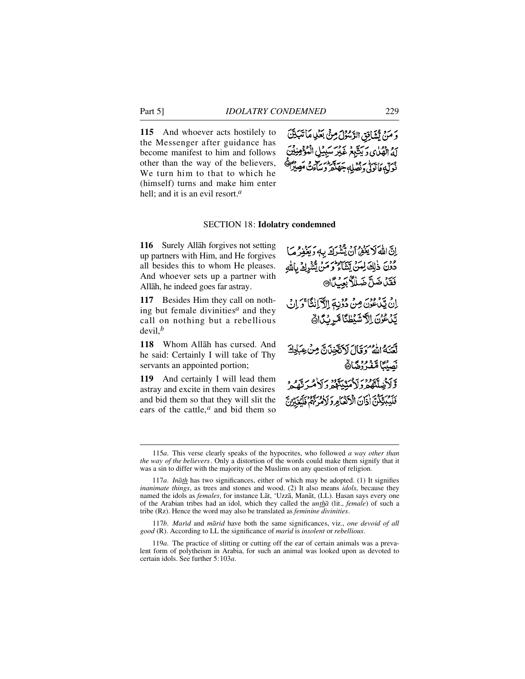115 And whoever acts hostilely to the Messenger after guidance has become manifest to him and follows other than the way of the believers, We turn him to that to which he (himself) turns and make him enter hell; and it is an evil resort.*<sup>a</sup>*



### SECTION 18: **Idolatry condemned**

**116** Surely Allah forgives not setting up partners with Him, and He forgives all besides this to whom He pleases. And whoever sets up a partner with Allåh, he indeed goes far astray.

**117** Besides Him they call on nothing but female divinities*<sup>a</sup>* and they call on nothing but a rebellious devil,*<sup>b</sup>*

118 Whom Allāh has cursed. And he said: Certainly I will take of Thy servants an appointed portion;

**119** And certainly I will lead them astray and excite in them vain desires and bid them so that they will slit the ears of the cattle,*<sup>a</sup>* and bid them so

اِنَّ اللَّهَ لَا يَغْفِرُ أَنْ يُتَّقْرَكَ بِهِ وَيَغْفِرُ مَا دُوْنَ ذٰلِكَ لِمَنْ يَشَاءُ وَمَنْ يَّتَشَاءُ فَقَدْضَلَّ ضَلَلاً بَعِبَدَا إِنْ يَبْدُعُونَ مِنْ دُوْنِهِ إِلاَّ اَنِكَا ذَكَا وَ إِنْ يَنْعُرْنَ اِلاَّشَيْطْنَا مَّرِيْكَاهُ لَّعَنَهُ اللَّهُ وَقَالَ لَاَتَّخِذَنَّ مِنْ عِبَادِكَ بَصِيْبَنَا مَتَشَرُوضًانَّا *ٙ*ڒۯڿڛ۠ڷۿۮؘۯؘڒۮؠێۣؠڐۄۄڮڒۿػڐۿػ فَلَيُبَيِّكُنَّ أَذَانَ الْأَنْفَأُمِرَدَ لَأُمَّةً مِنَّهُمْ فَلَه

117b. *Marid* and *marid* have both the same significances, viz., *one devoid of all good* (R). According to LL the significance of *marßd* is *insolent* or *rebellious*.

<sup>115</sup>*a*. This verse clearly speaks of the hypocrites, who followed *a way other than the way of the believers*. Only a distortion of the words could make them signify that it was a sin to differ with the majority of the Muslims on any question of religion.

<sup>117</sup>*a*. *Inåth* has two significances, either of which may be adopted. (1) It signifies *inanimate things*, as trees and stones and wood. (2) It also means *idols*, because they named the idols as *females*, for instance Låt, 'Uzzå, Manåt, (LL). Ïasan says every one of the Arabian tribes had an idol, which they called the *untha* (lit., *female*) of such a tribe (Rz). Hence the word may also be translated as *feminine divinities*.

<sup>119</sup>*a*. The practice of slitting or cutting off the ear of certain animals was a prevalent form of polytheism in Arabia, for such an animal was looked upon as devoted to certain idols. See further 5:103*a*.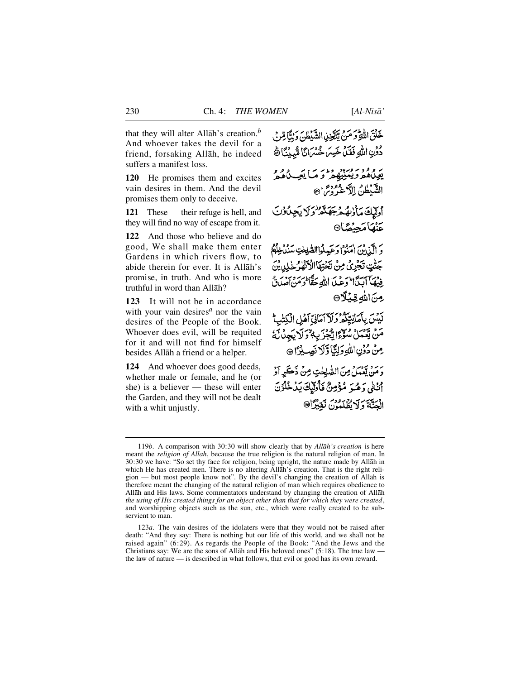that they will alter Allåh's creation.*<sup>b</sup>* And whoever takes the devil for a friend, forsaking Allåh, he indeed suffers a manifest loss.

**120** He promises them and excites vain desires in them. And the devil promises them only to deceive.

**121** These — their refuge is hell, and they will find no way of escape from it.

**122** And those who believe and do good, We shall make them enter Gardens in which rivers flow, to abide therein for ever. It is Allåh's promise, in truth. And who is more truthful in word than Allåh?

**123** It will not be in accordance with your vain desires*<sup>a</sup>* nor the vain desires of the People of the Book. Whoever does evil, will be requited for it and will not find for himself besides Allåh a friend or a helper.

**124** And whoever does good deeds, whether male or female, and he (or she) is a believer — these will enter the Garden, and they will not be dealt with a whit unjustly.

خَلْقَ اللَّهِ وَ مَنْ يَنَتَّخِذِ الشَّيْطُنَ وَلِتَّأَمِّرَ } دُونِ اللَّهِ فَقَلْ خَسِرَ خُسْرَانًا مُّبِينًا ﴾ يوه ودوستيره وديه أيجب ومر الشَّيْطُنُ الدَّعْرُوْسَّ!® أوليك مأزبه وبحكتم ولايجادون عَنْهَامَحِيْصًا® بر بير وسر مدورية والشيخت سدور ود<br>و الي بن امنوا وعبدلواالشيخت سندخلو جَنّْتٍ تَجْرِيُ مِنْ تَحْتِهَا الْأَنْفَارُ خَلِدِيْنَ فِيهَآ ٱبَيَّا ۖ وَعَبَدَ اللَّهِ حَقًّا ۖ وَمَن اصدَ مِنَ اللهِ قِيلًا لَيْسَ بِأَمَانِيِّكُمْ وَلَا آمَانِيِّ آهُلِ الْكِتْبِيُّ مَنْ يَعْمَلْ سُؤْءًا يَّجْزَيِهٖٱ زَلَا يَجِدُلَهُ مِنْ دُوۡنِ اللَّهِ وَلِتَّأَوَّلَا نَصِبِيۡنَا ۞ يرمز تعبيلُ مِنَ الصَّلحٰتِ مِنْ ذَكَيرٍ أَدْ أَنْتُى وَهُبَرَ مُؤْمِنٌ فَأُولَٰيِكَ بَدُخُلُوْنَ انسَةَ وَلَا يُفْلَعُونَ نَقِدْرًا@

123*a*. The vain desires of the idolaters were that they would not be raised after death: "And they say: There is nothing but our life of this world, and we shall not be raised again" (6:29). As regards the People of the Book: "And the Jews and the Christians say: We are the sons of Allåh and His beloved ones" (5:18). The true law the law of nature — is described in what follows, that evil or good has its own reward.

<sup>119</sup>*b*. A comparison with 30:30 will show clearly that by *Allåh's creation* is here meant the *religion of Allåh*, because the true religion is the natural religion of man. In 30:30 we have: "So set thy face for religion, being upright, the nature made by Allåh in which He has created men. There is no altering Allåh's creation. That is the right religion — but most people know not". By the devil's changing the creation of Allåh is therefore meant the changing of the natural religion of man which requires obedience to Allåh and His laws. Some commentators understand by changing the creation of Allåh *the using of His created things for an object other than that for which they were created*, and worshipping objects such as the sun, etc., which were really created to be subservient to man.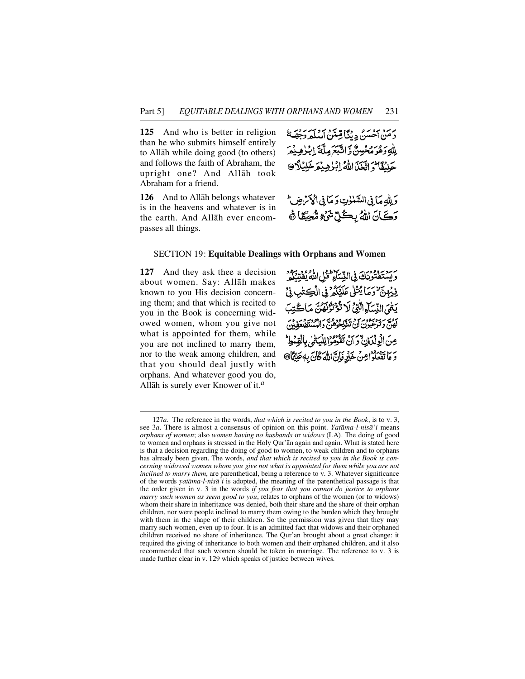**125** And who is better in religion than he who submits himself entirely to Allåh while doing good (to others) and follows the faith of Abraham, the upright one? And Allåh took Abraham for a friend.

**126** And to Allåh belongs whatever is in the heavens and whatever is in the earth. And Allåh ever encompasses all things.

يرمز محسن دينًا قِبتَنْ أسلَّه وَجِهَنَّ لِلَّهِ وَهُوَمُحْسِنٌ وَّاتَّبَعَ مِلَّةَ إِبْرٰهِيْمَ حَنْبُقًا مُ اتَّخَذَ اللَّهُ إِبْهِ هِيْمَ خَلِيْلًا @

وَلِلَّهِ مَا فِي السَّلْوٰتِ وَمَا فِي أَكْوَمَ ضِ ۖ رَكَانَ اللهُ بِكُلِّ شَيْءٍ مُّحِيِّطًا ﴾

### SECTION 19: **Equitable Dealings with Orphans and Women**

**127** And they ask thee a decision about women. Say: Allåh makes known to you His decision concerning them; and that which is recited to you in the Book is concerning widowed women, whom you give not what is appointed for them, while you are not inclined to marry them, nor to the weak among children, and that you should deal justly with orphans. And whatever good you do, Allåh is surely ever Knower of it.*<sup>a</sup>*

رَسِّيْتَفَتَّوْنَكَ فِي النِّسَاءِ ۖ قُبْلِ اللَّهُ يُفْتِنَكُمُ فِيُهِنَّ وَمَا يُتُلِّ عَلَيْكُمْ فِي الْكِتْرِ فِي يَعْمَى النِّسَاءِ الَّتِيُّ لَا تَتَوَنَّوْنَوْمَ، مَاڪُتِبَ شور سد سومورس در سهر وه و به سر هود و به.<br>لهن و ترغبون آن تنگخوهن والنستضغو عِنَ الْوِلْدَانُ وَ أَنْ تَقْوَمُوا لِأَسْتَمْ بِالْقِيَّة وَ مَا تَفْعَلُوْا مِنْ خَيْرٍ فَإِنَّ اللَّهَ كَانَ بِهِ عَلِيْمًا @

<sup>1 2 7</sup>*a*. The reference in the words, *that which is recited to you in the Book*, is to v. 3, see 3*a*. There is almost a consensus of opinion on this point. *Yatama-l-nisa'i* means *orphans of women*; also *women having no husbands* or *widows* (LA). The doing of good to women and orphans is stressed in the Holy Qur'ån again and again. What is stated here is that a decision regarding the doing of good to women, to weak children and to orphans has already been given. The words, *and that which is recited to you in the Book is concerning widowed women whom you give not what is appointed for them while you are not inclined to marry them*, are parenthetical, being a reference to v. 3. Whatever significance of the words *yatama-l-nisa*'*i* is adopted, the meaning of the parenthetical passage is that the order given in v. 3 in the words *if you fear that you cannot do justice to orphans marry such women as seem good to you*, relates to orphans of the women (or to widows) whom their share in inheritance was denied, both their share and the share of their orphan children, nor were people inclined to marry them owing to the burden which they brought with them in the shape of their children. So the permission was given that they may marry such women, even up to four. It is an admitted fact that widows and their orphaned children received no share of inheritance. The Qur'ån brought about a great change: it required the giving of inheritance to both women and their orphaned children, and it also recommended that such women should be taken in marriage. The reference to v. 3 is made further clear in v. 129 which speaks of justice between wives.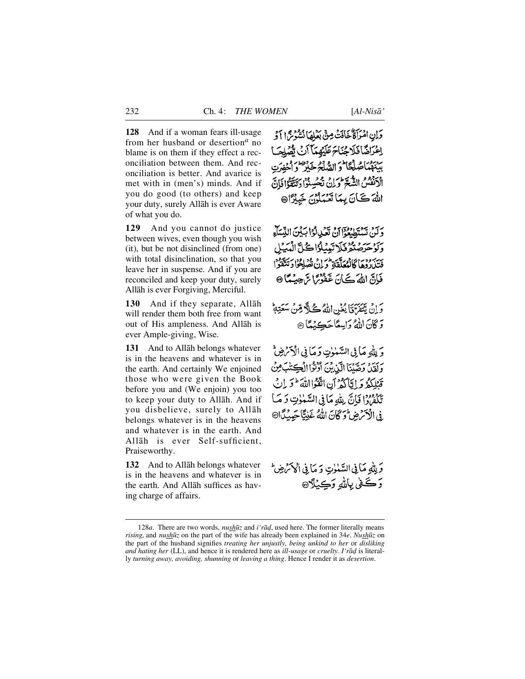**128** And if a woman fears ill-usage from her husband or desertion<sup> $a$ </sup> no blame is on them if they effect a reconciliation between them. And reconciliation is better. And avarice is met with in (men's) minds. And if you do good (to others) and keep your duty, surely Allåh is ever Aware of what you do.

129 And you cannot do justice between wives, even though you wish (it), but be not disinclined (from one) with total disinclination, so that you leave her in suspense. And if you are reconciled and keep your duty, surely Allåh is ever Forgiving, Merciful.

**130** And if they separate, Allah will render them both free from want out of His ampleness. And Allåh is ever Ample-giving, Wise.

**131** And to Allåh belongs whatever is in the heavens and whatever is in the earth. And certainly We enjoined those who were given the Book before you and (We enjoin) you too to keep your duty to Allåh. And if you disbelieve, surely to Allåh belongs whatever is in the heavens and whatever is in the earth. And Allåh is ever Self-sufficient, Praiseworthy.

**132** And to Allåh belongs whatever is in the heavens and whatever is in the earth. And Allåh suffices as having charge of affairs.

وَإِنِ امْرَأَةٌ خَافَتْ مِنْ بَعْلِهَا نُشْرُحُ الْوَ اعْرَاضًا فَلَاجُنَاءَ عَلَيْهِمَآ أَنَّ تَقْهَلِهَآ) بِينَهُمَاصُلُّعًا ثُوَ الصَّلَّةُ خَيْرٌ وَاخْفِرَتِ الْأَنْفُسُ الشُّعَرَّ وَلِنْ تَحْسِنُوْا دَيَتَّقَوُّا فَإِنَّ اللهَ كَانَ بِيمَا تَعْبَدُوْنَ خَيْرُاْ۞

بِرَ بِهِ سِنَ دِودَ بِنِ بَعْدِ لَهُ! بَيْنَ النِّسَاءِ حرصتم فكاتبي لواكل الميل بِينِهِ وَدِيَا كَانْبُعَلَقْةِ وَلِنْ نُصُلِحُوْا دَتَتَقَوْا فَإِنَّ اللَّهَ كَيْنَ غَفَوْتَرًا تَرَجِبُهُمَّا @

وَإِنْ يَتَقَرَّقَا يُغْنِ اللَّهُ كُلًّا قِنْ سَعَتِهِمْ وَكَانَ اللَّهُ وَاسِعًا حَكِيْمًا @

وَ بِلَّهِ مَا فِي السَّمٰوٰتِ وَمَا فِي الْآَتَرُضِ وَلَقَيْلَ وَصَّبْنَا الَّيْنِ بِنَ أَوْثَرًا الْكِتَنْبَ مِنْ قَبْلِكُمُ وَإِيَّاكُمُ أَنِ اتَّقَوْااللَّهَ ۖ وَ إِنْ تَكْفَرُوا فَإِنَّ بِلَّهِ مَأْ فِي السَّنْوٰتِ دَ مَيْا فِي الْأَمْرِضِ وَكَانَ اللَّهُ غَذِيًّا حَدِيدًا®

وَلِلَّهِ مَا فِي السَّلْوٰتِ وَ مَا فِي الْحَكْمَاضِ وَڪُفي بِاللهِ وَڪِيۡلَا۞

<sup>128</sup>*a*. There are two words, *nushūz* and *i'rād*, used here. The former literally means *rising*, and *nush∂z* on the part of the wife has already been explained in 34*e*. *Nush∂z* on the part of the husband signifies *treating her unjustly, being unkind to her* or *disliking and hating her* (LL), and hence it is rendered here as *ill-usage* or *cruelty*. *I'rad* is literally *turning away, avoiding, shunning* or *leaving a thing*. Hence I render it as *desertion*.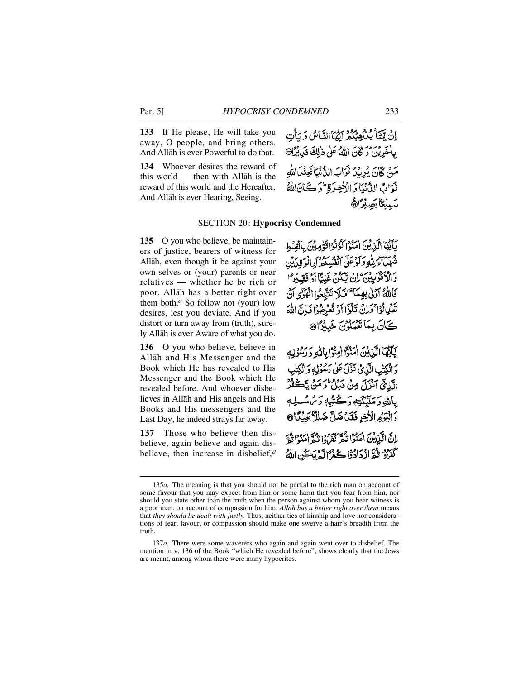**133** If He please, He will take you away, O people, and bring others. And Allåh is ever Powerful to do that.

**134** Whoever desires the reward of this world — then with Allåh is the reward of this world and the Hereafter. And Allåh is ever Hearing, Seeing.

إِنْ تَتَنَآأَ يُنۡهِمۡكُمۡ ٱتَّقَآالنَّاسُ وَ يَأۡت بِالْخَرِيْنِ وَكَانَ اللَّهُ عَلَى ذَٰلِكَ قَبْلَ يُزَارِي مَنْ كَانَ يُرِيْدُ نُوَابَ الدُّنْيَافُعِنْدَاللَّه نْدَابُ الدُّنْيَارَ الْأَخِيرَةِ \* دَ ڪَانَ اللَّهُ سَمِيْكَا بَصِبْرًاهُ

### SECTION 20: **Hypocrisy Condemned**

**135** O you who believe, be maintainers of justice, bearers of witness for Allåh, even though it be against your own selves or (your) parents or near relatives — whether he be rich or poor, Allåh has a better right over them both.*<sup>a</sup>* So follow not (your) low desires, lest you deviate. And if you distort or turn away from (truth), surely Allåh is ever Aware of what you do.

**136** O you who believe, believe in Allåh and His Messenger and the Book which He has revealed to His Messenger and the Book which He revealed before. And whoever disbelieves in Allåh and His angels and His Books and His messengers and the Last Day, he indeed strays far away.

**137** Those who believe then disbelieve, again believe and again disbelieve, then increase in disbelief,*<sup>a</sup>* يَأَيُّهَا الَّذِينَ امْنُوْا لَوْنُوْا قَوْمِيْنَ بِالْقِسْطِ شهليا وللود كوعلى أنفسك وإدالوالدين وَالْأَفْرَبِيْنَ ۚ إِنْ يَكُنْ غَنِيًّا أَوْ فَقِيْرًا فَاللَّهُ آدَلْى بِهِمَا تَتَوَلَّا تَتَّبِعُوا الْهَوَى أَنّ تَعْمِلُوْا ۚ وَلِنَّ تَلْؤَا أَوْ تُعْرِضُوْا فَإِنَّ اللَّهَ ڪَانَ بِمَائِتِيْلُوْنَ خَبِيْرًا®

يَآَيَّهَا الَّذِيْنَ أَمَنُوْٓا أَمِنُوَۨا بِاللَّهِ وَرَسُوْلِهِ دَ الْكِتْبِ الَّذِي تَذَّلَ عَلَىٰ رَسُوۡلِهِ دَالۡكِتَٰبِ الَّذِيٍّ آنْزَلَ مِنْ قَبْلُ وَمَن يَكَعْزُ بِإِلَّةٍ وَمَلَيْكَتِهِ وَكُتُبُهٖ وَمُ سُبِّ وَالْيَرَْمِ الْأَخِرِ فَقَدْ ضَلَّ ضَلَّلًا بَعِيْكَانَ إِنَّ الْبَدْيُنَ (مَنُوْا نَبُعَ كَفَرُوا نَبُعَ (مَنُوا نُبُعَ كَفَرُوْا ذَكَرَ اذْكَرَادُوْا كُفْرُا لَهُ يَكُن اللَّهُ

<sup>135</sup>*a*. The meaning is that you should not be partial to the rich man on account of some favour that you may expect from him or some harm that you fear from him, nor should you state other than the truth when the person against whom you bear witness is a poor man, on account of compassion for him. *Allåh has a better right over them* means that *they should be dealt with justly*. Thus, neither ties of kinship and love nor considerations of fear, favour, or compassion should make one swerve a hair's breadth from the truth.

<sup>137</sup>*a*. There were some waverers who again and again went over to disbelief. The mention in v. 136 of the Book "which He revealed before", shows clearly that the Jews are meant, among whom there were many hypocrites.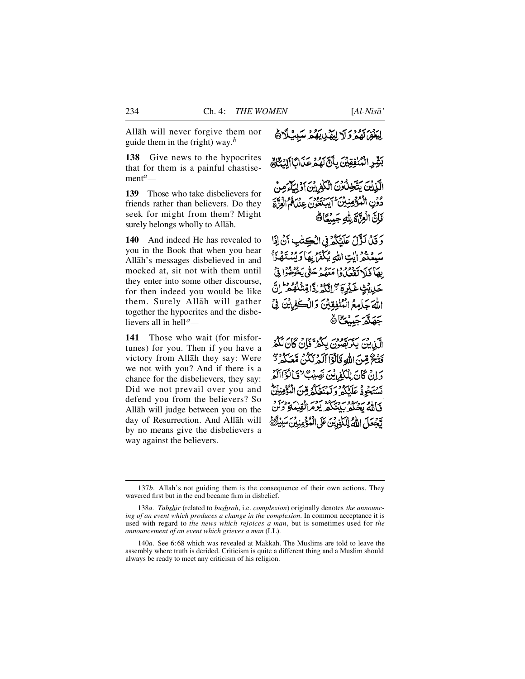Allåh will never forgive them nor guide them in the (right) way.*<sup>b</sup>*

**138** Give news to the hypocrites that for them is a painful chastisement*a—*

**139** Those who take disbelievers for friends rather than believers. Do they seek for might from them? Might surely belongs wholly to Allåh.

**140** And indeed He has revealed to you in the Book that when you hear Allåh's messages disbelieved in and mocked at, sit not with them until they enter into some other discourse, for then indeed you would be like them. Surely Allåh will gather together the hypocrites and the disbelievers all in hell*a—*

**141** Those who wait (for misfortunes) for you. Then if you have a victory from Allåh they say: Were we not with you? And if there is a chance for the disbelievers, they say: Did we not prevail over you and defend you from the believers? So Allåh will judge between you on the day of Resurrection. And Allåh will by no means give the disbelievers a way against the believers.

لِيَغْفِرُ لَهُمْ وَلَا لِيَهْدِينَهُمْ سَبِيْلًا ﴾

بَشِّرِ الْمُنْفِقِيِّنَ بِأَنَّ لَهُمْ عَذَابًا إَلِيَٰتَكَ الَّذِينَ يَتَّخِذُونَ الْكَٰفِرِينَ آوَلِيَآءَ

دُونِ الْمُؤْمِنِينَ ايبِينِيُونِ – ورودِ وجهرِ فَإِنَّ الْعِزَّةَ لِلَّهِ جَبِيْعًا ﴾

وَقَلَ نَزَّلَ عَلَيْكُمْ فِى الْكِتْبِ أَنْ إِذَا سَبِعْنِدْ إِيْتِ اللَّهِ يُكْفَرُ بِهَا وَيَسْتَهْنَأْ بِهَأْ فَلَا تَقْعَلُوا مَعْهُمْ حَتَّى يَخْرَضُوا فِيُّ حَيْايَتِ غَيْرِمَ \* اِتَّكُمْ إِذًّا قِنْتُلُّهُ مِنْ إِنَّ اللَّهَ حَامِعُ الْمُنْفِقِينَ وَالْكَفِينَ فِيِّ **جَهَنَّهُ جَسُكَ**انَّ

الَّيْنِيْنَ يَتَرَبَّصُونَ بِكُمْرٌ فَإِنْ كَانَ لَكُمُ فَتْحٌ مِّن اللهِ قَالُوْۤا أَلَمْهُ نَكُنْ مَّعَكُمْ يَسْتَفَرَّ دَ إِنْ كَانَ لِلْكَفِرِينَ نَصِيبُكَ "فَبَالُؤَاأَلَمْ نْسْتَجُودْ عَلَيْكُمْ وَنَهْنَعْكُمْ مِّنَ الْمُ وَبَامَّةً بِجَبِكُمْ بِمَنْكُمْ يَوْمَرَانُوْبِيْهَةٍ وَ لَّجْعَلَ اللَّهُ لِلْكَفِرِيْنَ عَلَى الْمُؤْمِنِ

<sup>137</sup>*b*. Allāh's not guiding them is the consequence of their own actions. They wavered first but in the end became firm in disbelief.

<sup>138</sup>*a*. *Tabshir* (related to *bushrah*, i.e. *complexion*) originally denotes *the announcing of an event which produces a change in the complexion*. In common acceptance it is used with regard to *the news which rejoices a man*, but is sometimes used for *the announcement of an event which grieves a man* (LL).

<sup>140</sup>*a*. See 6:68 which was revealed at Makkah. The Muslims are told to leave the assembly where truth is derided. Criticism is quite a different thing and a Muslim should always be ready to meet any criticism of his religion.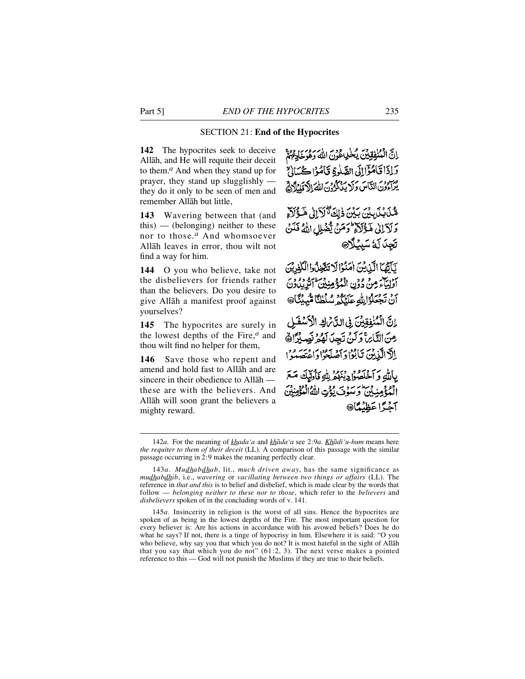### SECTION 21: **End of the Hypocrites**

**142** The hypocrites seek to deceive Allåh, and He will requite their deceit to them.*<sup>a</sup>* And when they stand up for prayer, they stand up slugglishly they do it only to be seen of men and remember Allåh but little,

143 Wavering between that (and this) — (belonging) neither to these nor to those.*<sup>a</sup>* And whomsoever Allåh leaves in error, thou wilt not find a way for him.

**144** O you who believe, take not the disbelievers for friends rather than the believers. Do you desire to give Allåh a manifest proof against yourselves?

**145** The hypocrites are surely in the lowest depths of the Fire, $<sup>a</sup>$  and</sup> thou wilt find no helper for them,

146 Save those who repent and amend and hold fast to Allåh and are sincere in their obedience to Allåh these are with the believers. And Allåh will soon grant the believers a mighty reward.

اِنَّ الْمُنْفِقِيْنَ يُخْرِعْوْنَ اللَّهُ وَهُوَخَادِعُهُمْ وَإِذَا قَامُؤَالِلَى الصَّلَوةِ قَامُوْا كُسَالِيٌّ يُسْ وَمَنْ النَّاسَ وَلَا يَذْكُرُوْنَ اللَّهَ إِلَّا قَلْدُلَاهُ

مِّنْ بِيِّنِ بِيِّنِ ذَلِكَةٌ لَأَإِلَىٰ هَذَاكَةٌ وَلَآلِكَ هَؤُلَاَّ وَمَنْ يَفْهَلِ اللَّهُ فَلَنْ تَجِدَ لَهُ سَبِيْلًا@

لَأَلَّهَا الَّذِينَ اٰمَنُوْالَا تَتَّجَذُّوا الْكُفْدِيْنَ أَوْلِيَاءَ مِنْ دُونِ الْمُؤْمِنِينَ أَتَرِيْدُونَ أَنْ تَجْعَلُوْالِلَّهِ عَلَيْكُمْ سُلْطٰنًا مُّبِيْئًا@

إِنَّ الْمُنْفِقِينَ فِي الدَّبْرَافِي الْأَسْفَعَلِي مِنَ النَّارَ، وَكَنْ تَجِدَ لَهُ وَ نَصِيْرًا هَ إِلَّا الَّذِينَ تَأْبُوْا دَآصَلَحُوْا دَاعْتَصَدُوْ ا بِاللَّهِ وَ آخَلَصُوْا دِيْهُمْ لِلَّهِ فَأُولَيْكَ مَعَ أَفْهِ وَسَوْسٍ مِنْ يُؤْتِ اللَّهُ الْمُؤْمِنِينَ آخَدًّا عَظْنُمَّا®

<sup>142</sup>*a*. For the meaning of *khada'a* and *khåda'a* see 2:9*a*. *Khådi'u-hum* means here *the requiter to them of their deceit* (LL). A comparison of this passage with the similar passage occurring in 2:9 makes the meaning perfectly clear.

<sup>143</sup>*a*. *Mudhabdhab*, lit., *much driven away*, has the same significance as *mudhabdhib*, i.e., *wavering* or *vacillating between two things or affairs* (LL). The reference in *that and this* is to belief and disbelief, which is made clear by the words that follow — *belonging neither to these nor to those*, which refer to the *believers* and *disbelievers* spoken of in the concluding words of v. 141.

<sup>1 4 5</sup>*a*. Insincerity in religion is the worst of all sins. Hence the hypocrites are spoken of as being in the lowest depths of the Fire. The most important question for every believer is: Are his actions in accordance with his avowed beliefs? Does he do what he says? If not, there is a tinge of hypocrisy in him. Elsewhere it is said: "O you who believe, why say you that which you do not? It is most hateful in the sight of Allåh that you say that which you do not"  $(61:2, 3)$ . The next verse makes a pointed reference to this — God will not punish the Muslims if they are true to their beliefs.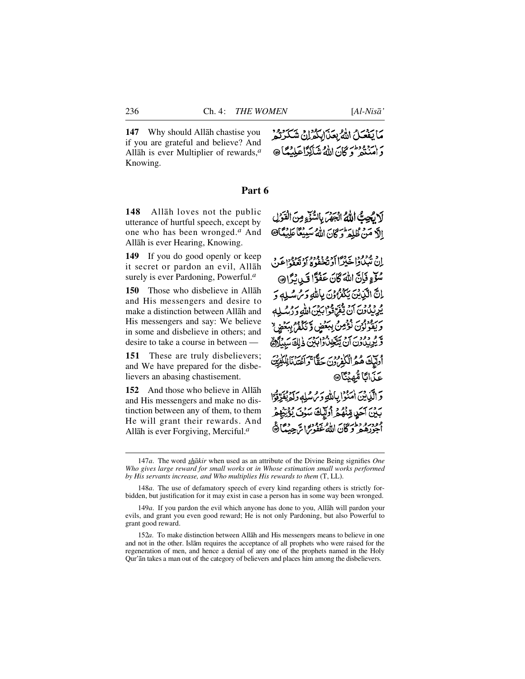**147** Why should Allåh chastise you if you are grateful and believe? And Allåh is ever Multiplier of rewards,*<sup>a</sup>* Knowing.

### **Part 6**

148 Allah loves not the public utterance of hurtful speech, except by one who has been wronged.<sup>*a*</sup> And Allåh is ever Hearing, Knowing.

**149** If you do good openly or keep it secret or pardon an evil, Allåh surely is ever Pardoning, Powerful.*<sup>a</sup>*

**150** Those who disbelieve in Allåh and His messengers and desire to make a distinction between Allåh and His messengers and say: We believe in some and disbelieve in others; and desire to take a course in between —

**151** These are truly disbelievers; and We have prepared for the disbelievers an abasing chastisement.

**152** And those who believe in Allāh and His messengers and make no distinction between any of them, to them He will grant their rewards. And Allåh is ever Forgiving, Merciful.*<sup>a</sup>*

مَا يَفْعَلُ اللَّهُ بِعَنَ إِبَكُرْلِنَّ شَكَّرَتُمْ وَ امْنَتْمْ وَكَانَ اللَّهُ شَاكِرًا عَلَيْهَا @

لَا تُجِبُّ اللَّهُ انْجَهْرَ بِالسُّّوَءِ مِنَ الْقَوَٰلِ الَّ مَنْ ظُلِمَ وَكَانَ اللَّهُ سَبِيْعًا عَلِيْمًا 9

اد ودود برود اد و دوده برود.<br>ان تبيياوا خيراً اد تخفوه اد تعفواغن سُؤْءٍ فَإِنَّ اللَّهَ كَانَ عَفُوًّا قَبِي بُرًّا @ إِنَّ الَّذِينَ يَكْفَرُونَ بِاللَّهِ وَمُ سُلِهِ وَ ه د و د به به د قمه ودرس الله د د و له له بر ودور ودي ودي ببلاد و المعنى المستقبل المستقبل و دود معديد مي دابكي ذلك سبيلان أُولَّيْكَ هُمُ الْكُفْرُوبِ حِيَّاجٍ بِمَرْسَنِ لِلْكَلِّيْتِ عَذَانَا مُّهنَّاً @ دَ الَّذِينَ امْنُوا بِأَلَّذٍ وَمُ سُلِّهِ وَلَمْ يُقَرِّؤُا بَيْنَ آَحَرٍ مِّنْهُمْ أُرَلِّيكَ سَوْنَ يُؤَيِّنِهِمْ مودرو دارس المصور .<br>اجورهمر و کان الله غفورات جینگا

<sup>147</sup>*a*. The word *shåkir* when used as an attribute of the Divine Being signifies *One Who gives large reward for small works* or *in Whose estimation small works performed by His servants increase, and Who multiplies His rewards to them* (T, LL).

<sup>148</sup>*a*. The use of defamatory speech of every kind regarding others is strictly forbidden, but justification for it may exist in case a person has in some way been wronged.

<sup>149</sup>*a*. If you pardon the evil which anyone has done to you, Allåh will pardon your evils, and grant you even good reward; He is not only Pardoning, but also Powerful to grant good reward.

<sup>1 5 2</sup>*a*. To make distinction between Allåh and His messengers means to believe in one and not in the other. Islåm requires the acceptance of all prophets who were raised for the regeneration of men, and hence a denial of any one of the prophets named in the Holy Qur'ån takes a man out of the category of believers and places him among the disbelievers.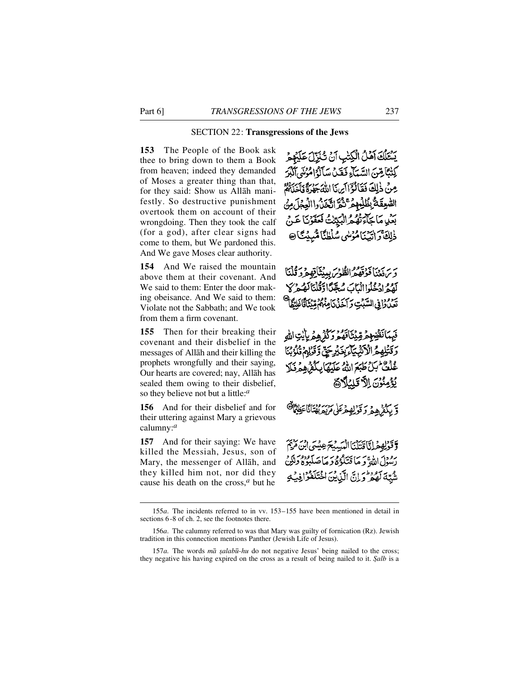### SECTION 22: **Transgressions of the Jews**

**153** The People of the Book ask thee to bring down to them a Book from heaven; indeed they demanded of Moses a greater thing than that, for they said: Show us Allåh manifestly. So destructive punishment overtook them on account of their wrongdoing. Then they took the calf (for a god), after clear signs had come to them, but We pardoned this. And We gave Moses clear authority.

**154** And We raised the mountain above them at their covenant. And We said to them: Enter the door making obeisance. And We said to them: Violate not the Sabbath; and We took from them a firm covenant.

**155** Then for their breaking their covenant and their disbelief in the messages of Allåh and their killing the prophets wrongfully and their saying, Our hearts are covered; nay, Allåh has sealed them owing to their disbelief, so they believe not but a little:*<sup>a</sup>*

**156** And for their disbelief and for their uttering against Mary a grievous calumny:*<sup>a</sup>*

**157** And for their saying: We have killed the Messiah, Jesus, son of Mary, the messenger of Allåh, and they killed him not, nor did they cause his death on the cross,*<sup>a</sup>* but he

يَسْتَلْكَ أَهْلُ الْكِتْبِ أَنْ تُنْزِّلُ عَلَيْهِ كِتْتَكَاهِنَ السَّيِّبَاءِ فَقَيْلَ سَأَلُّهُ اهْزَلَتِي أَ مِنْ ذٰلِكَ فَقَالُوْٓاأَيْنَا اللَّهَ جَهْرَةً فَأَ الصُّعِقَةُ بِظُلِّمِهِمْ ثَنَّةٌ الْيَجَدُّهُۥاللَّهِمْ بَعْدِيهِ مَا حَاءَتْهُمْ الْبَدِّينَ فَعَقَوْنَا عَبِي ذٰلِكَ كَرَاتَيْنَامُؤْسُي سُلْطُنًا مُّبِيْتًا @

وَيَرَفَّعْنَا فَوَقَّهُمْ الطُّوْسَ بِيبْتَأْقِهِمْ وَقُلْتَا كَفَرِدٍ وَقَبْدَا الْمَاكَ سُجَّدًا وَقُلْنَا لَهُمْ كَلّ يبزودا في السكت و كم بم وهم

مَرِ مِّيْنَاقَهُمْ وَكُّذُهُمْ يِأَيْتِ الله ءَ بِغَيْرِجَنَّ وَقَرْبِهِمْ وَ غْلَفْ كَيْ كَتْبَعَ اللَّهُ عَلَيْهَا بِكُوْ هُجْ فَيْ يُؤْمِنُوْنَ اِلاَّ تَلِيۡلَاهَا

وَّ بِكُفْرُهِ مِرْ 5 قَوْلِهِ مِرْعَلٰى مَرْيَهِ بِهُنَانًا

وقولهفرانا قتلنا التستخرعا رَسُوْلَ اللَّهِ وَ مَا قَتَلُوْهُ وَ مَأْصَرَ شُبَّةَ لَهُمْ وَ إِنَّ الَّذِينَ اخْتَلَفُوْا

<sup>1 5 5</sup>*a*. The incidents referred to in vv. 153–155 have been mentioned in detail in sections 6-8 of ch. 2, see the footnotes there.

<sup>156</sup>*a*. The calumny referred to was that Mary was guilty of fornication (Rz). Jewish tradition in this connection mentions Panther (Jewish Life of Jesus).

<sup>157</sup>*a*. The words *mā salabū-hu* do not negative Jesus' being nailed to the cross; they negative his having expired on the cross as a result of being nailed to it. *˝alb* is a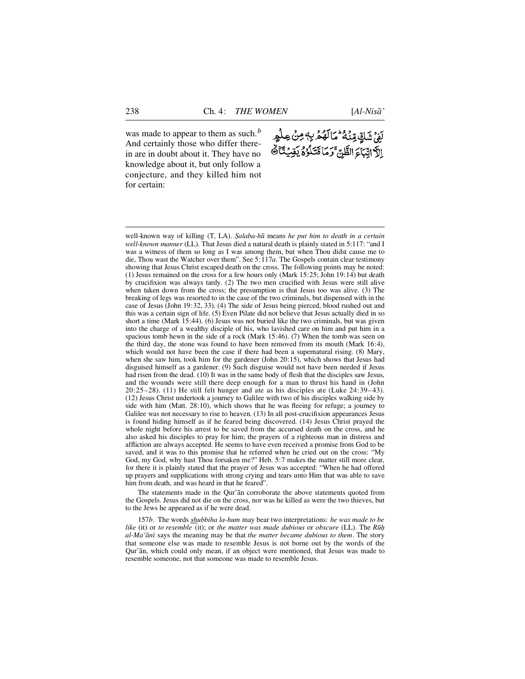was made to appear to them as such.*<sup>b</sup>* And certainly those who differ therein are in doubt about it. They have no knowledge about it, but only follow a conjecture, and they killed him not for certain:

# *ؚۘڶ*ۣؽ۬ۺٞڮۣۨڡۣڹ<sup>ؙ</sup>ۮ<sup>ٷ</sup>؆ٲڷۿۮڹ؋ڝ۬ٛڝڶٝۄٟڔ اِلَّا اتِّبَاءَ الظَّنِّ ۚ وَمَا قَتَلُوۡ ۚ يَقِيَٰنَا ﴾

well-known way of killing (T, LA). *Salaba-hū* means *he put him to death in a certain well-known manner* (LL). That Jesus died a natural death is plainly stated in 5:117: "and I was a witness of them so long as I was among them, but when Thou didst cause me to die, Thou wast the Watcher over them". See 5:1 1 7*a*. The Gospels contain clear testimony showing that Jesus Christ escaped death on the cross. The following points may be noted: (1) Jesus remained on the cross for a few hours only (Mark 15:25; John 19:14) but death by crucifixion was always tardy. (2) The two men crucified with Jesus were still alive when taken down from the cross; the presumption is that Jesus too was alive. (3) The breaking of legs was resorted to in the case of the two criminals, but dispensed with in the case of Jesus (John 19:32, 33). (4) The side of Jesus being pierced, blood rushed out and this was a certain sign of life. (5) Even Pilate did not believe that Jesus actually died in so short a time (Mark 15:44). (6) Jesus was not buried like the two criminals, but was given into the charge of a wealthy disciple of his, who lavished care on him and put him in a spacious tomb hewn in the side of a rock (Mark 15:46). (7) When the tomb was seen on the third day, the stone was found to have been removed from its mouth (Mark 16:4), which would not have been the case if there had been a supernatural rising. (8) Mary, when she saw him, took him for the gardener (John 20:15), which shows that Jesus had disguised himself as a gardener. (9) Such disguise would not have been needed if Jesus had risen from the dead. (10) It was in the same body of flesh that the disciples saw Jesus, and the wounds were still there deep enough for a man to thrust his hand in (John  $20:25-28$ . (11) He still felt hunger and ate as his disciples ate (Luke  $24:39-43$ ). (12) Jesus Christ undertook a journey to Galilee with two of his disciples walking side by side with him (Matt. 28:10), which shows that he was fleeing for refuge; a journey to Galilee was not necessary to rise to heaven. (13) In all post-crucifixion appearances Jesus is found hiding himself as if he feared being discovered. (14) Jesus Christ prayed the whole night before his arrest to be saved from the accursed death on the cross, and he also asked his disciples to pray for him; the prayers of a righteous man in distress and affliction are always accepted. He seems to have even received a promise from God to be saved, and it was to this promise that he referred when he cried out on the cross: "My God, my God, why hast Thou forsaken me?" Heb. 5:7 makes the matter still more clear, for there it is plainly stated that the prayer of Jesus was accepted: "When he had offered up prayers and supplications with strong crying and tears unto Him that was able to save him from death, and was heard in that he feared".

The statements made in the Qur'ån corroborate the above statements quoted from the Gospels. Jesus did not die on the cross, nor was he killed as were the two thieves, but to the Jews he appeared as if he were dead.

157*b*. The words *shubbiha la-hum* may bear two interpretations: *he was made to be like* (it) or *to resemble* (it); or *the matter was made dubious* or *obscure* (LL). The *R* $\bar{u}$ *h al-Ma'ånß* says the meaning may be that *the matter became dubious to them*. The story that someone else was made to resemble Jesus is not borne out by the words of the Qur'ån, which could only mean, if an object were mentioned, that Jesus was made to resemble someone, not that someone was made to resemble Jesus.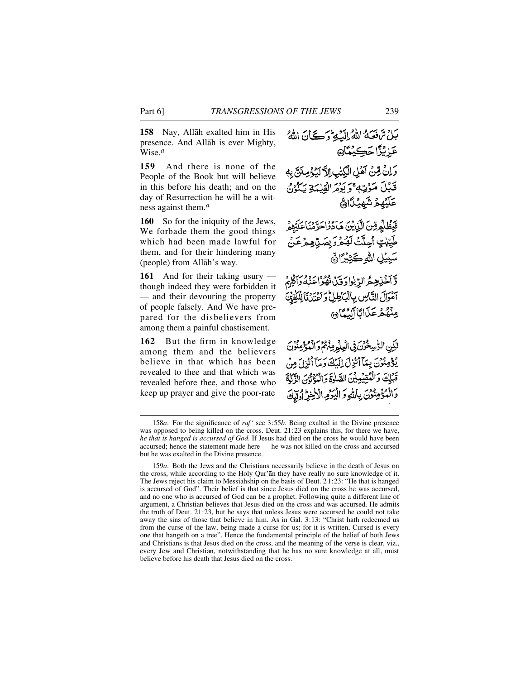**158** Nay, Allåh exalted him in His presence. And Allåh is ever Mighty, Wise.*<sup>a</sup>*

159 And there is none of the People of the Book but will believe in this before his death; and on the day of Resurrection he will be a witness against them.*<sup>a</sup>*

**160** So for the iniquity of the Jews, We forbade them the good things which had been made lawful for them, and for their hindering many (people) from Allåh's way.

**161** And for their taking usury though indeed they were forbidden it — and their devouring the property of people falsely. And We have prepared for the disbelievers from among them a painful chastisement.

162 But the firm in knowledge among them and the believers believe in that which has been revealed to thee and that which was revealed before thee, and those who keep up prayer and give the poor-rate

بَلْ تَرَفَعَهُ اللَّهُ إِلَيْهِ وَكَيْانَ اللَّهُ

وَلِنْ مِّنْ آهُلِ الْكِتْبِ الْآكِيَةِ مِنَنَّ بِهِ

عَزِيْزًا حَ<u>ڪِيْ</u>مَّا@

آمُوَالَ التَّاسِ بِالْبَاطِلُ وَأَعْنَدُنَا لِلْكُفْتَةَ مِنْهُمْ عَذَابًا آلِيُّهَا

لَّكِنِ الرُّسِخُرُنَ فِي الْعِلْمِ مِنْهُمْ وَالْمُؤْمِنُونَ يْدْمِنْوْنَ بِيَآَاْنُزِلَ إِلَيْكَ دَيَآَ أَنْزِلَ مِنْ قَبْلِكَ وَالْمُقِيْمِيْنَ الصَّلْوَةَ وَالْمُؤْثَوْنَ الْأَكْذَةَ وَالْمُؤْمِنُوْنَ بِاللَّهِ وَالْيَوْمِ الْأَخِرِّ أَوْلَىٰكَ

قَبْلَ مَوْتِهِ ۚ وَيُؤْمَرُ الْقِيْمَةِ يَكُونُ عَلَيْهِمْ شَهِيْلًا؟ فَبَظْلُمِرِّسَ الَّذِينَ هَادُوْاحَرَّمْنَاءَ طَيِّبْتٍ أَحِلَّتْ لَهُمْرَ بِصَلِّ هِمْرَعَنْ سَبِيْلِ اللهِ كَثِيْرًا ﴾ وَّآخَٰنِهِمُّ الرَّبٰوٰا وَقِينَ نُهُوَّا عَنْهُ وَآَكَّ

<sup>158</sup>*a*. For the significance of *raf'* see 3:55*b*. Being exalted in the Divine presence was opposed to being killed on the cross. Deut. 21:23 explains this, for there we have, *he that is hanged is accursed of God*. If Jesus had died on the cross he would have been accursed; hence the statement made here — he was not killed on the cross and accursed but he was exalted in the Divine presence.

<sup>159</sup>*a*. Both the Jews and the Christians necessarily believe in the death of Jesus on the cross, while according to the Holy Qur'ån they have really no sure knowledge of it. The Jews reject his claim to Messiahship on the basis of Deut. 21:23: "He that is hanged is accursed of God". Their belief is that since Jesus died on the cross he was accursed, and no one who is accursed of God can be a prophet. Following quite a different line of argument, a Christian believes that Jesus died on the cross and was accursed. He admits the truth of Deut. 21:23, but he says that unless Jesus were accursed he could not take away the sins of those that believe in him. As in Gal. 3:13: "Christ hath redeemed us from the curse of the law, being made a curse for us; for it is written, Cursed is every one that hangeth on a tree". Hence the fundamental principle of the belief of both Jews and Christians is that Jesus died on the cross, and the meaning of the verse is clear, viz., every Jew and Christian, notwithstanding that he has no sure knowledge at all, must believe before his death that Jesus died on the cross.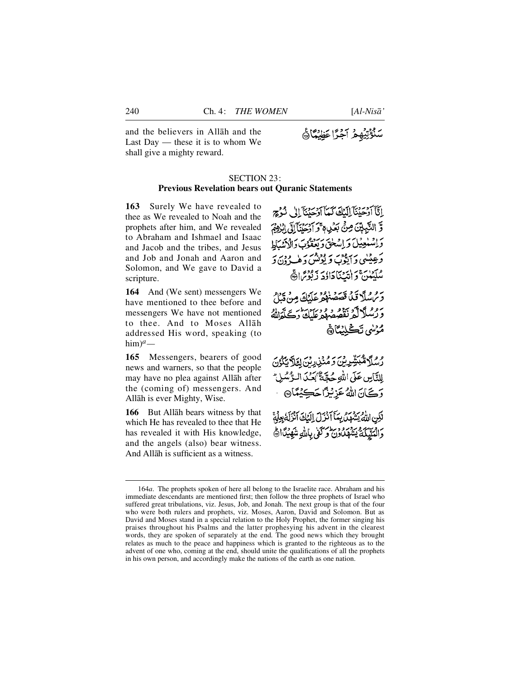سَنُؤْتِيُهِمْ آَجُرًّا عَظِيْمًا ﴾

and the believers in Allåh and the Last Day — these it is to whom We shall give a mighty reward.

## SECTION 23: **Previous Revelation bears out Quranic Statements**

**163** Surely We have revealed to thee as We revealed to Noah and the prophets after him, and We revealed to Abraham and Ishmael and Isaac and Jacob and the tribes, and Jesus and Job and Jonah and Aaron and Solomon, and We gave to David a scripture.

**164** And (We sent) messengers We have mentioned to thee before and messengers We have not mentioned to thee. And to Moses Allåh addressed His word, speaking (to him)*a—*

165 Messengers, bearers of good news and warners, so that the people may have no plea against Allåh after the (coming of) messengers. And Allåh is ever Mighty, Wise.

**166** But Allāh bears witness by that which He has revealed to thee that He has revealed it with His knowledge, and the angels (also) bear witness. And Allåh is sufficient as a witness.

إِيَّا أَدْجَدْنَا إِلَيْكَ كَيِيّاً أَدْجَدْنَا إِلَى شَدْيِعِ وَّ النَّبِيِّيِّنَ مِنِّي بَعَيْدِ وَ أَدْحَدْنَآ إِلَى ابْنُوْثَمَ واسْتَعِينَ وَإِسْلَحَ وَبَعْقَوْبَ وَالْأَيْسَاط د عیلیې په دوره د او د .<br>د عیلیې د ایوب د لونس د هپ ون د مْكَيْنَ وَإِنَّتْنَاجَاؤُدَ زَنْوُمُ الْمَهْجَ

يرو و مسلًا قبل قصَصْنَا و عَلَيْكَ مِنْ قِيلَ ی ده کرکتر نقصه در در سایت دیگرایش مُؤسْى تَكْلِيْكَارْ،

*و و*گرهبَشِّرِین و منزرین لئلایگزن لِلنَّاسِ عَلَى اللَّهِ حُجَّةٌ ْبَعَدَ الرَّسُّ **رَكَ**انَ اللهُ عَزِيْزًا حَكِيْمًا۞

لْكِنِ اللَّهُ يَشْهَلْ بِيَكَأْ ذَرَلَ إِلَيْكَ ٱنْزَلَةُ بِعِلْمَةً دَالْمَلَيْكَةُ يَتَّهَلُكُونَ وَكَفَّى بِاللَّهِ شَهْيَدًا أَهْ

<sup>164</sup>*a*. The prophets spoken of here all belong to the Israelite race. Abraham and his immediate descendants are mentioned first; then follow the three prophets of Israel who suffered great tribulations, viz. Jesus, Job, and Jonah. The next group is that of the four who were both rulers and prophets, viz. Moses, Aaron, David and Solomon. But as David and Moses stand in a special relation to the Holy Prophet, the former singing his praises throughout his Psalms and the latter prophesying his advent in the clearest words, they are spoken of separately at the end. The good news which they brought relates as much to the peace and happiness which is granted to the righteous as to the advent of one who, coming at the end, should unite the qualifications of all the prophets in his own person, and accordingly make the nations of the earth as one nation.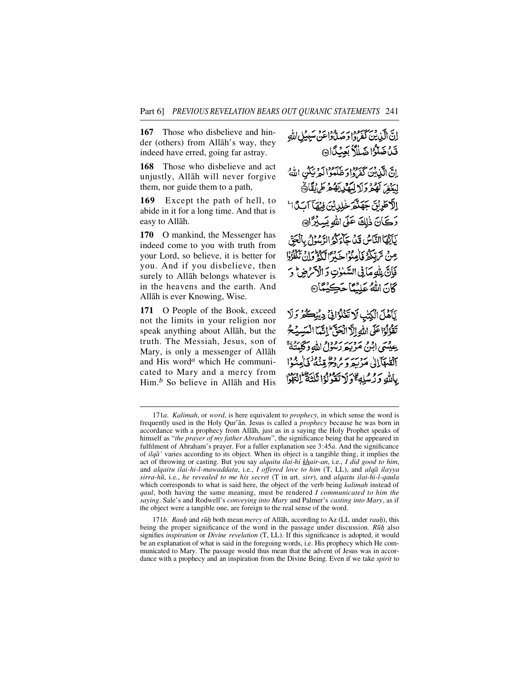**167** Those who disbelieve and hinder (others) from Allåh's way, they indeed have erred, going far astray.

**168** Those who disbelieve and act unjustly, Allåh will never forgive them, nor guide them to a path,

**169** Except the path of hell, to abide in it for a long time. And that is easy to Allåh.

**170** O mankind, the Messenger has indeed come to you with truth from your Lord, so believe, it is better for you. And if you disbelieve, then surely to Allåh belongs whatever is in the heavens and the earth. And Allåh is ever Knowing, Wise.

171 O People of the Book, exceed not the limits in your religion nor speak anything about Allåh, but the truth. The Messiah, Jesus, son of Mary, is only a messenger of Allåh and His word*<sup>a</sup>* which He communicated to Mary and a mercy from Him *b* So believe in Allāh and His

إِنَّ الَّذِينَ كَفَرَهُ! وَصَدَّادُاعَنْ سَبِيْلِ اللَّهِ قَدْضَكُوا ضَلِلاً بَعِنْكَا اِنَّ الَّذِينَ كَمَرْوَادَ ظَلَّمَوْالَّهِ نَبِكُنِ اللَّهُ لِيَنْفِرَ لَهُمْ وَلَا لِيَهْدِينَهُمْ طَرِيْقًا ﴾ الآطريق جَهَنَّمَ خُلِدِيْنَ فِيْهَا آسَدًا ال رَكَانَ ذٰلِكَ عَلَى اللهِ يَسِيْرُ الله يَاَيَّهَا النَّاسُ قَدْ جَاءَكُرُ الرَّسُوْلُ بِالْحَقِّ عِنْ تَرَبَّدُهُ فَأَمِدُوْا حَدَبَّ ٱلْكَيْتَرَةُ إِنَّ يَمْنُوْدُوا فَإِنَّ بِلَّهِ مَأْنِي السَّنْوٰتِ وَ الْأَكْرَضِ وَ كَانَ اللَّهُ عَلِيْمًا حَكِيْمًا يَأَهَّلَ الْكِتْبِ لَا تَغَلُّوُانِيٌّ دِينِكُمْ وَلَا تَقْزَلُوْا عَلَى اللَّهِ إِلَّا الْحَقَّ إِلَيْمَا الْمَسِيُحُ عِيْسَى ابْنُ مَرْيَهِ رَسُولُ اللَّهِ وَكَلِمَتُهُ ۚ أَلْقَعَهَآ إِلَىٰ مَرْسَرِ وَمَرْحَرٌ مِّنْدَهُ ۚ فَأَمِنُوْا

بِاللَّهِ وَكُسُلِهِ وَلَا تَقُولُوْا ثَلْثَةٌ لَّٰ نَتَهُوْا

171*b. Rauh* and *rūh* both mean *mercy* of Allāh, according to Az (LL under *rauh*), this being the proper significance of the word in the passage under discussion. *R* $\bar{u}h$  also signifies *inspiration* or *Divine revelation* (T, LL). If this significance is adopted, it would be an explanation of what is said in the foregoing words, i.e. His prophecy which He communicated to Mary. The passage would thus mean that the advent of Jesus was in accordance with a prophecy and an inspiration from the Divine Being. Even if we take *spirit* to

<sup>171</sup>*a*. *Kalimah*, or *word*, is here equivalent to *prophecy*, in which sense the word is frequently used in the Holy Qur'ån. Jesus is called a *prophecy* because he was born in accordance with a prophecy from Allåh, just as in a saying the Holy Prophet speaks of himself as "*the prayer of my father Abraham*", the significance being that he appeared in fulfilment of Abraham's prayer. For a fuller explanation see 3:45*a*. And the significance of *ilqå'* varies according to its object. When its object is a tangible thing, it implies the act of throwing or casting. But you say *alqaitu ilai-hi khair-an*, i.e., *I did good to him*, and *alqaitu ilai-hi-l-mawaddata*, i.e., *I offered love to him* (T, LL), and *alqå ilayya s i r r a - h ∂*, i.e., *he revealed to me his secret* (T in art. *s i r r*), and *alqaitu ilai-hi-l-qaula* which corresponds to what is said here, the object of the verb being *kalimah* instead of *q a u l*, both having the same meaning, must be rendered *I communicated to him the saying*. Sale's and Rodwell's *conveying into Mary* and Palmer's *casting into Mary*, as if the object were a tangible one, are foreign to the real sense of the word.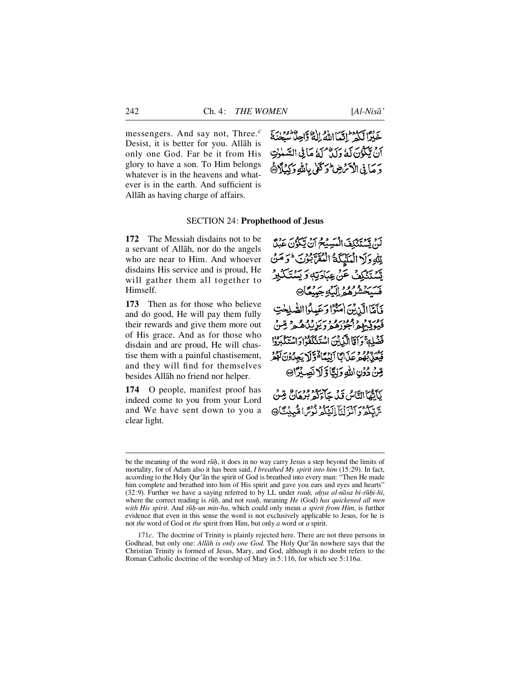messengers. And say not, Three.*<sup>c</sup>* Desist, it is better for you. Allåh is only one God. Far be it from His glory to have a son. To Him belongs whatever is in the heavens and whatever is in the earth. And sufficient is Allåh as having charge of affairs.



### SECTION 24: **Prophethood of Jesus**

**172** The Messiah disdains not to be a servant of Allåh, nor do the angels who are near to Him. And whoever disdains His service and is proud, He will gather them all together to Himself.

**173** Then as for those who believe and do good, He will pay them fully their rewards and give them more out of His grace. And as for those who disdain and are proud, He will chastise them with a painful chastisement, and they will find for themselves besides Allåh no friend nor helper.

**174** O people, manifest proof has indeed come to you from your Lord and We have sent down to you a clear light.

لَنْ يَسْتَنْكَفَ الْبَسِيْحُ أَنْ يَكُرُّنَ عَبْنًا لِّلَّهِ وَلَا الْمَلَيْكَةُ الْعُقَلَّ بُوْتَ لَوَ مَنْ يَّهُ يَذَكِّفُ عَنْ عِبَادَتِهٖ وَ يَسْتَكَبِرُ ىسىيە بورو دات<br>فسيخشرهمراليكوبجيپيگا® فَأَمَّاَ الَّذِينَ اٰمَنُوْا وَعَبِدُوا الصَّلِحٰتِ دوره و ومودرو دسر دراه در قس فَضْلِةً وَآَمَا الَّذِينَ اسْتَذَكَفُوا دَاسْتَكْبَرُوْا بور بود و بر بي ايدي اقتراكي بهادن كود صِّنُ دُوُنِ اللهِ وَلِيًّا وَّ لَا نَصِبُرًا۞ لَلَّقْمَاالِثَّاشُ قَدْمِ حَاءَكُمْ بَرْهَانٌ قِسْنُ

سَّاتِيكُمْ وَانْزِلْنَآ إِلَيْنَكُمْ نُوْسً الْمُبِينِيَّآْ۞

171*c*. The doctrine of Trinity is plainly rejected here. There are not three persons in Godhead, but only one: *Allåh is only one God*. The Holy Qur'ån nowhere says that the Christian Trinity is formed of Jesus, Mary, and God, although it no doubt refers to the Roman Catholic doctrine of the worship of Mary in 5:116, for which see 5:116*a*.

be the meaning of the word *rūh*, it does in no way carry Jesus a step beyond the limits of mortality, for of Adam also it has been said, *I breathed My spirit into him* (15:29). In fact, according to the Holy Qur'ån the spirit of God is breathed into every man: "Then He made him complete and breathed into him of His spirit and gave you ears and eyes and hearts" (32:9). Further we have a saying referred to by LL under *rauh*, ahya al-nāsa bi-rūhi-hī, where the correct reading is *rūh*, and not *rauh*, meaning *He* (God) *has quickened all men with His spirit*. And *r∂ƒ-un min-hu*, which could only mean *a spirit from Him*, is further evidence that even in this sense the word is not exclusively applicable to Jesus, for he is not *the* word of God or *the* spirit from Him, but only *a* word or *a* spirit.